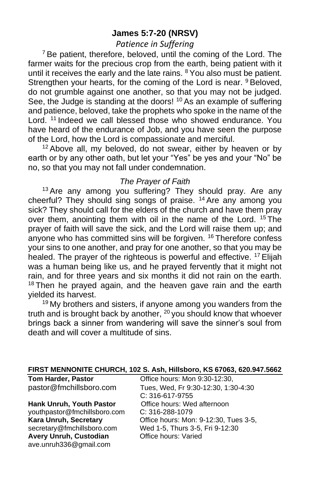## **James 5:7-20 (NRSV)**

## *Patience in Suffering*

 $7$  Be patient, therefore, beloved, until the coming of the Lord. The farmer waits for the precious crop from the earth, being patient with it until it receives the early and the late rains. <sup>8</sup> You also must be patient. Strengthen your hearts, for the coming of the Lord is near. <sup>9</sup> Beloved, do not grumble against one another, so that you may not be judged. See, the Judge is standing at the doors! <sup>10</sup> As an example of suffering and patience, beloved, take the prophets who spoke in the name of the Lord. <sup>11</sup> Indeed we call blessed those who showed endurance. You have heard of the endurance of Job, and you have seen the purpose of the Lord, how the Lord is compassionate and merciful.

<sup>12</sup> Above all, my beloved, do not swear, either by heaven or by earth or by any other oath, but let your "Yes" be yes and your "No" be no, so that you may not fall under condemnation.

### *The Prayer of Faith*

<sup>13</sup> Are any among you suffering? They should pray. Are any cheerful? They should sing songs of praise. <sup>14</sup> Are any among you sick? They should call for the elders of the church and have them pray over them, anointing them with oil in the name of the Lord. <sup>15</sup> The prayer of faith will save the sick, and the Lord will raise them up; and anyone who has committed sins will be forgiven. <sup>16</sup> Therefore confess your sins to one another, and pray for one another, so that you may be healed. The prayer of the righteous is powerful and effective. <sup>17</sup> Elijah was a human being like us, and he prayed fervently that it might not rain, and for three years and six months it did not rain on the earth. <sup>18</sup> Then he prayed again, and the heaven gave rain and the earth yielded its harvest.

<sup>19</sup> My brothers and sisters, if anyone among you wanders from the truth and is brought back by another,  $20$  you should know that whoever brings back a sinner from wandering will save the sinner's soul from death and will cover a multitude of sins.

| <b>Tom Harder, Pastor</b>    | Office hours: Mon 9:30-12:30,         |
|------------------------------|---------------------------------------|
| pastor@fmchillsboro.com      | Tues, Wed, Fr 9:30-12:30, 1:30-4:30   |
|                              | C: 316-617-9755                       |
| Hank Unruh, Youth Pastor     | Office hours: Wed afternoon           |
| youthpastor@fmchillsboro.com | $C: 316 - 288 - 1079$                 |
| Kara Unruh, Secretary        | Office hours: Mon: 9-12:30, Tues 3-5, |
| secretary@fmchillsboro.com   | Wed 1-5, Thurs 3-5, Fri 9-12:30       |
| Avery Unruh, Custodian       | Office hours: Varied                  |
| ave.unruh336@gmail.com       |                                       |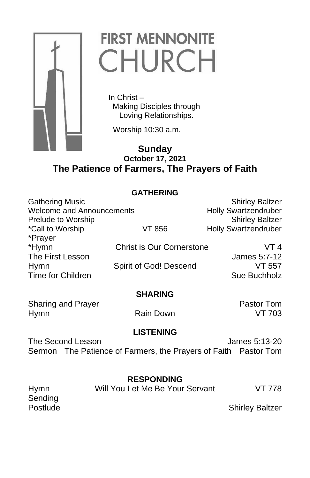

# **FIRST MENNONITE CHURCH**

 In Christ – Making Disciples through Loving Relationships.

Worship 10:30 a.m.

## **Sunday October 17, 2021 The Patience of Farmers, The Prayers of Faith**

## **GATHERING**

| <b>Gathering Music</b>           |                                  | <b>Shirley Baltzer</b>      |
|----------------------------------|----------------------------------|-----------------------------|
| <b>Welcome and Announcements</b> |                                  | <b>Holly Swartzendruber</b> |
| Prelude to Worship               |                                  | <b>Shirley Baltzer</b>      |
| *Call to Worship                 | VT 856                           | <b>Holly Swartzendruber</b> |
| *Prayer                          |                                  |                             |
| *Hymn                            | <b>Christ is Our Cornerstone</b> | VT 4                        |
| The First Lesson                 |                                  | James 5:7-12                |
| <b>Hymn</b>                      | Spirit of God! Descend           | VT 557                      |
| Time for Children                |                                  | Sue Buchholz                |
|                                  |                                  |                             |

### **SHARING**

Sharing and Prayer **Pastor Tom** Hymn **Rain Down** VT 703

## **LISTENING**

The Second Lesson James 5:13-20 Sermon The Patience of Farmers, the Prayers of Faith Pastor Tom

## **RESPONDING**

Sending

Hymn Will You Let Me Be Your Servant VT 778

Postlude **Shirley Baltzer**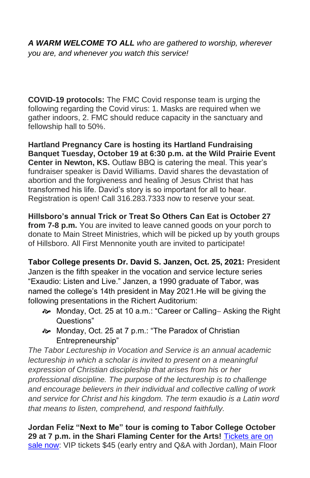*A WARM WELCOME TO ALL who are gathered to worship, wherever you are, and whenever you watch this service!*

**COVID-19 protocols:** The FMC Covid response team is urging the following regarding the Covid virus: 1. Masks are required when we gather indoors, 2. FMC should reduce capacity in the sanctuary and fellowship hall to 50%.

**Hartland Pregnancy Care is hosting its Hartland Fundraising Banquet Tuesday, October 19 at 6:30 p.m. at the Wild Prairie Event Center in Newton, KS.** Outlaw BBQ is catering the meal. This year's fundraiser speaker is David Williams. David shares the devastation of abortion and the forgiveness and healing of Jesus Christ that has transformed his life. David's story is so important for all to hear. Registration is open! Call 316.283.7333 now to reserve your seat.

**Hillsboro's annual Trick or Treat So Others Can Eat is October 27 from 7-8 p.m.** You are invited to leave canned goods on your porch to donate to Main Street Ministries, which will be picked up by youth groups of Hillsboro. All First Mennonite youth are invited to participate!

**Tabor College presents Dr. David S. Janzen, Oct. 25, 2021:** President Janzen is the fifth speaker in the vocation and service lecture series "Exaudio: Listen and Live." Janzen, a 1990 graduate of Tabor, was named the college's 14th president in May 2021.He will be giving the following presentations in the Richert Auditorium:

- Monday, Oct. 25 at 10 a.m.: "Career or Calling− Asking the Right Questions"
- Monday, Oct. 25 at 7 p.m.: "The Paradox of Christian Entrepreneurship"

*The Tabor Lectureship in Vocation and Service is an annual academic lectureship in which a scholar is invited to present on a meaningful expression of Christian discipleship that arises from his or her professional discipline. The purpose of the lectureship is to challenge and encourage believers in their individual and collective calling of work and service for Christ and his kingdom. The term* exaudio *is a Latin word that means to listen, comprehend, and respond faithfully.*

**Jordan Feliz "Next to Me" tour is coming to Tabor College October 29 at 7 p.m. in the Shari Flaming Center for the Arts!** [Tickets are on](https://tabor.universitytickets.com/w/event.aspx?id=1523&r=ad091ac1ff3a49beab299adb20854950)  [sale now:](https://tabor.universitytickets.com/w/event.aspx?id=1523&r=ad091ac1ff3a49beab299adb20854950) VIP tickets \$45 (early entry and Q&A with Jordan), Main Floor